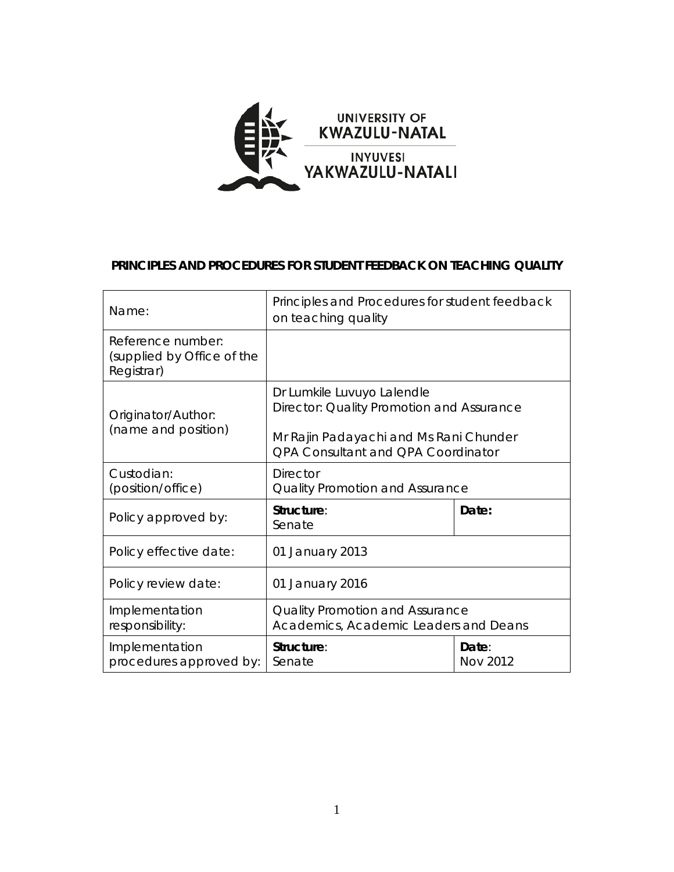

#### **PRINCIPLES AND PROCEDURES FOR STUDENT FEEDBACK ON TEACHING QUALITY**

| Name:                                                         | Principles and Procedures for student feedback<br>on teaching quality                                                                                   |                   |
|---------------------------------------------------------------|---------------------------------------------------------------------------------------------------------------------------------------------------------|-------------------|
| Reference number:<br>(supplied by Office of the<br>Registrar) |                                                                                                                                                         |                   |
| Originator/Author:<br>(name and position)                     | Dr Lumkile Luvuyo Lalendle<br>Director: Quality Promotion and Assurance<br>Mr Rajin Padayachi and Ms Rani Chunder<br>QPA Consultant and QPA Coordinator |                   |
| Custodian:<br>(position/office)                               | <b>Director</b><br>Quality Promotion and Assurance                                                                                                      |                   |
| Policy approved by:                                           | Structure:<br>Senate                                                                                                                                    | Date:             |
| Policy effective date:                                        | 01 January 2013                                                                                                                                         |                   |
| Policy review date:                                           | 01 January 2016                                                                                                                                         |                   |
| Implementation<br>responsibility:                             | Quality Promotion and Assurance<br>Academics, Academic Leaders and Deans                                                                                |                   |
| Implementation<br>procedures approved by:                     | Structure:<br>Senate                                                                                                                                    | Date:<br>Nov 2012 |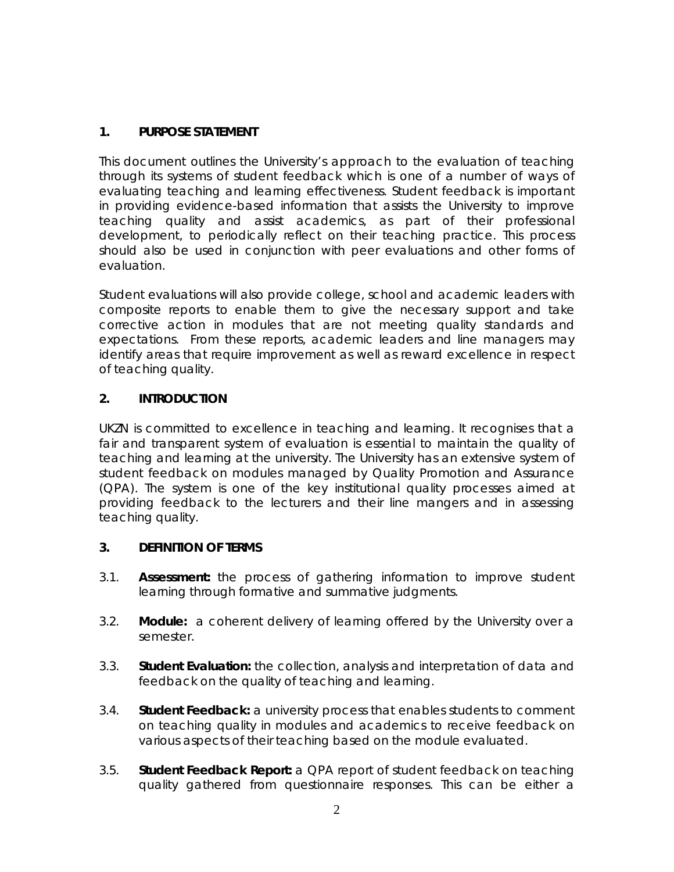# **1. PURPOSE STATEMENT**

This document outlines the University's approach to the evaluation of teaching through its systems of student feedback which is one of a number of ways of evaluating teaching and learning effectiveness. Student feedback is important in providing evidence-based information that assists the University to improve teaching quality and assist academics, as part of their professional development, to periodically reflect on their teaching practice. This process should also be used in conjunction with peer evaluations and other forms of evaluation.

Student evaluations will also provide college, school and academic leaders with composite reports to enable them to give the necessary support and take corrective action in modules that are not meeting quality standards and expectations. From these reports, academic leaders and line managers may identify areas that require improvement as well as reward excellence in respect of teaching quality.

## **2. INTRODUCTION**

UKZN is committed to excellence in teaching and learning. It recognises that a fair and transparent system of evaluation is essential to maintain the quality of teaching and learning at the university. The University has an extensive system of student feedback on modules managed by Quality Promotion and Assurance (QPA). The system is one of the key institutional quality processes aimed at providing feedback to the lecturers and their line mangers and in assessing teaching quality.

## **3. DEFINITION OF TERMS**

- 3.1. **Assessment:** the process of gathering information to improve student learning through formative and summative judgments.
- 3.2. **Module:** a coherent delivery of learning offered by the University over a semester.
- 3.3. **Student Evaluation:** the collection, analysis and interpretation of data and feedback on the quality of teaching and learning.
- 3.4. **Student Feedback:** a university process that enables students to comment on teaching quality in modules and academics to receive feedback on various aspects of their teaching based on the module evaluated.
- 3.5. **Student Feedback Report:** a QPA report of student feedback on teaching quality gathered from questionnaire responses. This can be either a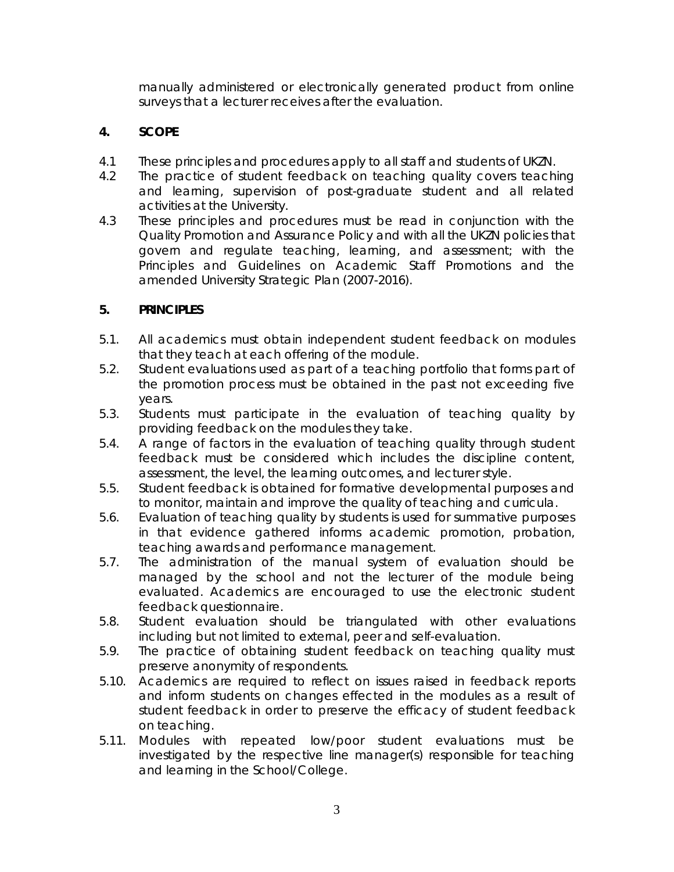manually administered or electronically generated product from online surveys that a lecturer receives after the evaluation.

## **4. SCOPE**

- 4.1 These principles and procedures apply to all staff and students of UKZN.
- 4.2 The practice of student feedback on teaching quality covers teaching and learning, supervision of post-graduate student and all related activities at the University.
- 4.3 These principles and procedures must be read in conjunction with the Quality Promotion and Assurance Policy and with all the UKZN policies that govern and regulate teaching, learning, and assessment; with the Principles and Guidelines on Academic Staff Promotions and the amended University Strategic Plan (2007-2016).

## **5. PRINCIPLES**

- 5.1. All academics must obtain independent student feedback on modules that they teach at each offering of the module.
- 5.2. Student evaluations used as part of a teaching portfolio that forms part of the promotion process must be obtained in the past not exceeding five years.
- 5.3. Students must participate in the evaluation of teaching quality by providing feedback on the modules they take.
- 5.4. A range of factors in the evaluation of teaching quality through student feedback must be considered which includes the discipline content, assessment, the level, the learning outcomes, and lecturer style.
- 5.5. Student feedback is obtained for formative developmental purposes and to monitor, maintain and improve the quality of teaching and curricula.
- 5.6. Evaluation of teaching quality by students is used for summative purposes in that evidence gathered informs academic promotion, probation, teaching awards and performance management.
- 5.7. The administration of the manual system of evaluation should be managed by the school and not the lecturer of the module being evaluated. Academics are encouraged to use the electronic student feedback questionnaire.
- 5.8. Student evaluation should be triangulated with other evaluations including but not limited to external, peer and self-evaluation.
- 5.9. The practice of obtaining student feedback on teaching quality must preserve anonymity of respondents.
- 5.10. Academics are required to reflect on issues raised in feedback reports and inform students on changes effected in the modules as a result of student feedback in order to preserve the efficacy of student feedback on teaching.
- 5.11. Modules with repeated low/poor student evaluations must be investigated by the respective line manager(s) responsible for teaching and learning in the School/College.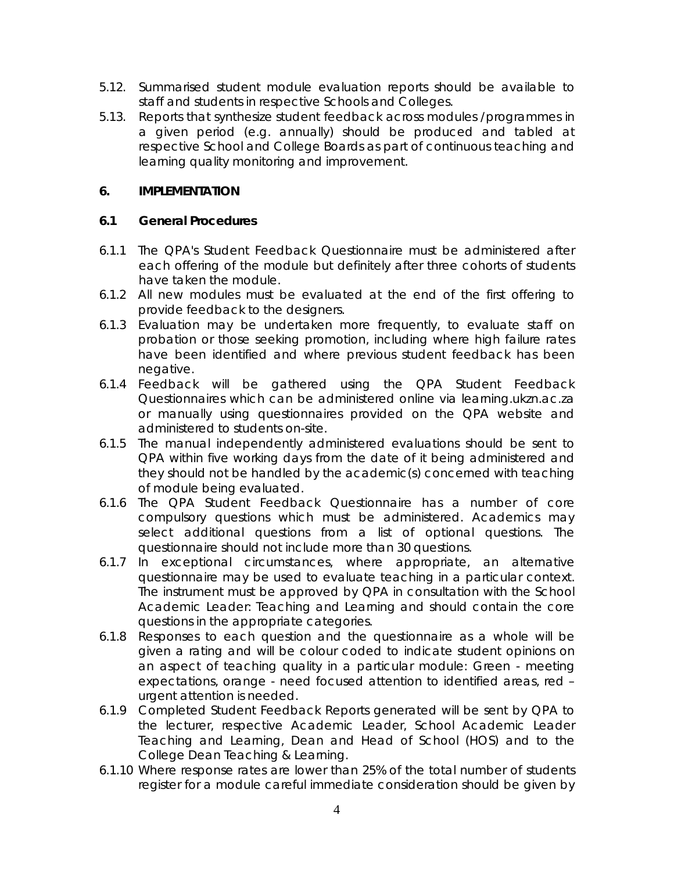- 5.12. Summarised student module evaluation reports should be available to staff and students in respective Schools and Colleges.
- 5.13. Reports that synthesize student feedback across modules /programmes in a given period (e.g. annually) should be produced and tabled at respective School and College Boards as part of continuous teaching and learning quality monitoring and improvement.

#### **6. IMPLEMENTATION**

#### **6.1 General Procedures**

- 6.1.1 The QPA's Student Feedback Questionnaire must be administered after each offering of the module but definitely after three cohorts of students have taken the module.
- 6.1.2 All new modules must be evaluated at the end of the first offering to provide feedback to the designers.
- 6.1.3 Evaluation may be undertaken more frequently, to evaluate staff on probation or those seeking promotion, including where high failure rates have been identified and where previous student feedback has been negative.
- 6.1.4 Feedback will be gathered using the QPA Student Feedback Questionnaires which can be administered online via learning.ukzn.ac.za or manually using questionnaires provided on the QPA website and administered to students on-site.
- 6.1.5 The manual independently administered evaluations should be sent to QPA within five working days from the date of it being administered and they should not be handled by the academic(s) concerned with teaching of module being evaluated.
- 6.1.6 The QPA Student Feedback Questionnaire has a number of core compulsory questions which must be administered. Academics may select additional questions from a list of optional questions. The questionnaire should not include more than 30 questions.
- 6.1.7 In exceptional circumstances, where appropriate, an alternative questionnaire may be used to evaluate teaching in a particular context. The instrument must be approved by QPA in consultation with the School Academic Leader: Teaching and Learning and should contain the core questions in the appropriate categories.
- 6.1.8 Responses to each question and the questionnaire as a whole will be given a rating and will be colour coded to indicate student opinions on an aspect of teaching quality in a particular module: Green - meeting expectations, orange - need focused attention to identified areas, red – urgent attention is needed.
- 6.1.9 Completed Student Feedback Reports generated will be sent by QPA to the lecturer, respective Academic Leader, School Academic Leader Teaching and Learning, Dean and Head of School (HOS) and to the College Dean Teaching & Learning.
- 6.1.10 Where response rates are lower than 25% of the total number of students register for a module careful immediate consideration should be given by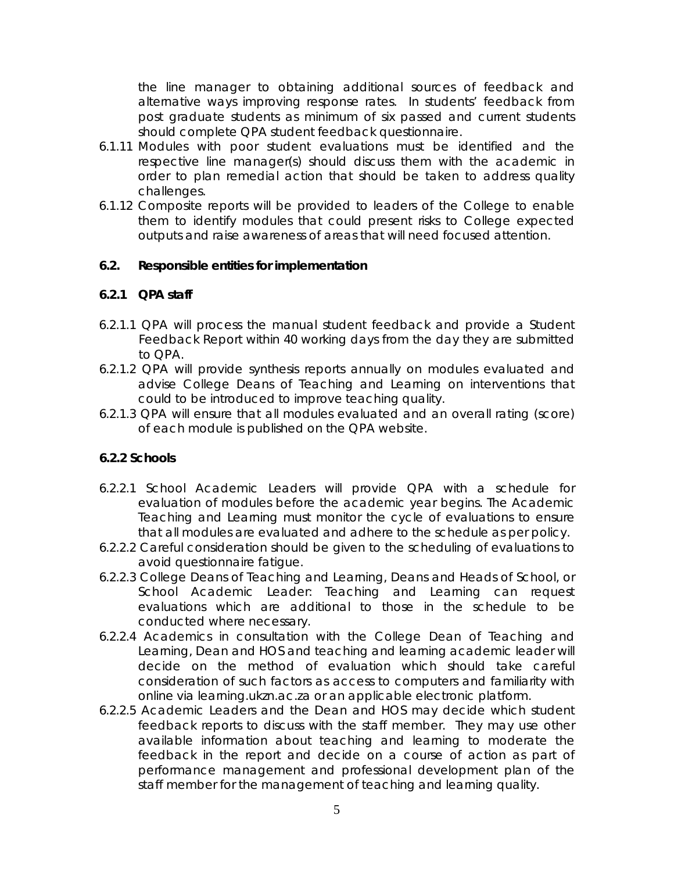the line manager to obtaining additional sources of feedback and alternative ways improving response rates. In students' feedback from post graduate students as minimum of six passed and current students should complete QPA student feedback questionnaire.

- 6.1.11 Modules with poor student evaluations must be identified and the respective line manager(s) should discuss them with the academic in order to plan remedial action that should be taken to address quality challenges.
- 6.1.12 Composite reports will be provided to leaders of the College to enable them to identify modules that could present risks to College expected outputs and raise awareness of areas that will need focused attention.

#### **6.2. Responsible entities for implementation**

## **6.2.1 QPA staff**

- 6.2.1.1 QPA will process the manual student feedback and provide a Student Feedback Report within 40 working days from the day they are submitted to QPA.
- 6.2.1.2 QPA will provide synthesis reports annually on modules evaluated and advise College Deans of Teaching and Learning on interventions that could to be introduced to improve teaching quality.
- 6.2.1.3 QPA will ensure that all modules evaluated and an overall rating (score) of each module is published on the QPA website.

## **6.2.2 Schools**

- 6.2.2.1 School Academic Leaders will provide QPA with a schedule for evaluation of modules before the academic year begins. The Academic Teaching and Learning must monitor the cycle of evaluations to ensure that all modules are evaluated and adhere to the schedule as per policy.
- 6.2.2.2 Careful consideration should be given to the scheduling of evaluations to avoid questionnaire fatigue.
- 6.2.2.3 College Deans of Teaching and Learning, Deans and Heads of School, or School Academic Leader: Teaching and Learning can request evaluations which are additional to those in the schedule to be conducted where necessary.
- 6.2.2.4 Academics in consultation with the College Dean of Teaching and Learning, Dean and HOS and teaching and learning academic leader will decide on the method of evaluation which should take careful consideration of such factors as access to computers and familiarity with online via learning.ukzn.ac.za or an applicable electronic platform.
- 6.2.2.5 Academic Leaders and the Dean and HOS may decide which student feedback reports to discuss with the staff member. They may use other available information about teaching and learning to moderate the feedback in the report and decide on a course of action as part of performance management and professional development plan of the staff member for the management of teaching and learning quality.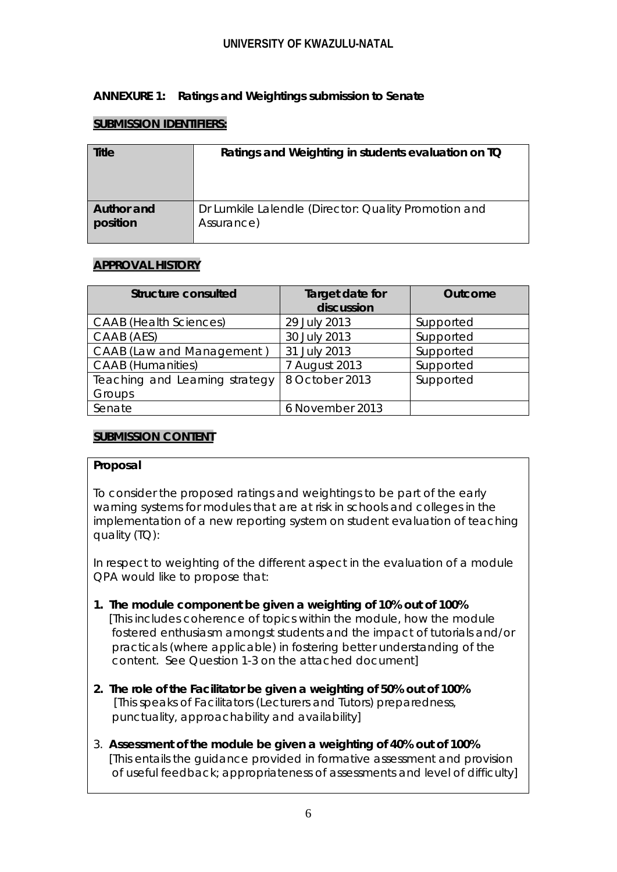## **UNIVERSITY OF KWAZULU-NATAL**

## **ANNEXURE 1: Ratings and Weightings submission to Senate**

## **SUBMISSION IDENTIFIERS:**

| Title      | Ratings and Weighting in students evaluation on TQ   |
|------------|------------------------------------------------------|
| Author and | Dr Lumkile Lalendle (Director: Quality Promotion and |
| position   | Assurance)                                           |

## **APPROVAL HISTORY**

| <b>Structure consulted</b>               | Target date for<br>discussion | <b>Outcome</b> |
|------------------------------------------|-------------------------------|----------------|
| <b>CAAB</b> (Health Sciences)            | 29 July 2013                  | Supported      |
| CAAB (AES)                               | 30 July 2013                  | Supported      |
| CAAB (Law and Management)                | 31 July 2013                  | Supported      |
| <b>CAAB</b> (Humanities)                 | 7 August 2013                 | Supported      |
| Teaching and Learning strategy<br>Groups | 8 October 2013                | Supported      |
| Senate                                   | 6 November 2013               |                |

## **SUBMISSION CONTENT**

#### **Proposal**

To consider the proposed ratings and weightings to be part of the early warning systems for modules that are at risk in schools and colleges in the implementation of a new reporting system on student evaluation of teaching quality (TQ):

In respect to weighting of the different aspect in the evaluation of a module QPA would like to propose that:

- **1. The module component be given a weighting of 10% out of 100%** [*This includes coherence of topics within the module, how the module fostered enthusiasm amongst students and the impact of tutorials and/or practicals (where applicable) in fostering better understanding of the content. See Question 1-3 on the attached document]*
- **2. The role of the Facilitator be given a weighting of 50% out of 100%** *[This speaks of Facilitators (Lecturers and Tutors) preparedness, punctuality, approachability and availability]*
- 3. **Assessment of the module be given a weighting of 40% out of 100%** [This entails the guidance provided in formative assessment and provision of useful feedback; appropriateness of assessments and level of difficulty]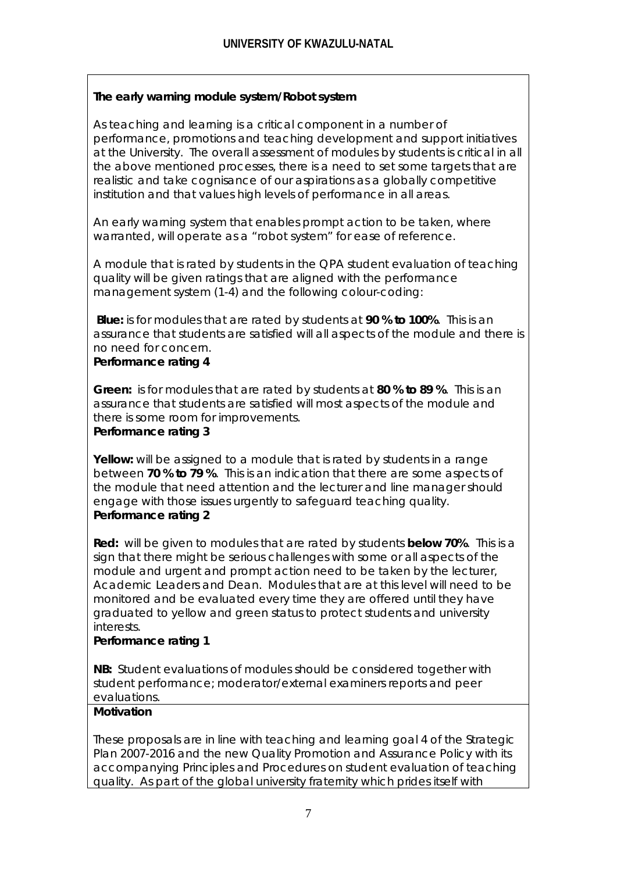# **The early warning module system/Robot system**

As teaching and learning is a critical component in a number of performance, promotions and teaching development and support initiatives at the University. The overall assessment of modules by students is critical in all the above mentioned processes, there is a need to set some targets that are realistic and take cognisance of our aspirations as a globally competitive institution and that values high levels of performance in all areas.

An early warning system that enables prompt action to be taken, where warranted, will operate as a "robot system" for ease of reference.

A module that is rated by students in the QPA student evaluation of teaching quality will be given ratings that are aligned with the performance management system (1-4) and the following colour-coding:

**Blue:** is for modules that are rated by students at **90 % to 100%**. This is an assurance that students are satisfied will all aspects of the module and there is no need for concern.

## **Performance rating 4**

**Green:** is for modules that are rated by students at **80 % to 89 %**. This is an assurance that students are satisfied will most aspects of the module and there is some room for improvements.

#### **Performance rating 3**

**Yellow:** will be assigned to a module that is rated by students in a range between **70 % to 79 %**. This is an indication that there are some aspects of the module that need attention and the lecturer and line manager should engage with those issues urgently to safeguard teaching quality. **Performance rating 2** 

**Red:** will be given to modules that are rated by students **below 70%**. This is a sign that there might be serious challenges with some or all aspects of the module and urgent and prompt action need to be taken by the lecturer, Academic Leaders and Dean. Modules that are at this level will need to be monitored and be evaluated every time they are offered until they have graduated to yellow and green status to protect students and university interests.

#### **Performance rating 1**

**NB:** Student evaluations of modules should be considered together with student performance; moderator/external examiners reports and peer evaluations.

# **Motivation**

These proposals are in line with teaching and learning goal 4 of the Strategic Plan 2007-2016 and the new Quality Promotion and Assurance Policy with its accompanying Principles and Procedures on student evaluation of teaching quality. As part of the global university fraternity which prides itself with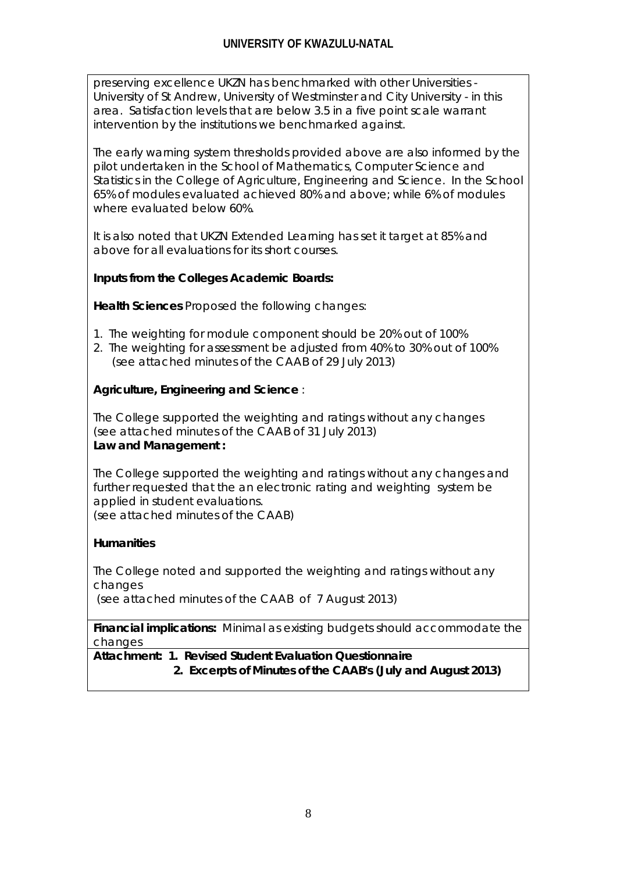preserving excellence UKZN has benchmarked with other Universities - University of St Andrew, University of Westminster and City University - in this area. Satisfaction levels that are below 3.5 in a five point scale warrant intervention by the institutions we benchmarked against.

The early warning system thresholds provided above are also informed by the pilot undertaken in the School of Mathematics, Computer Science and Statistics in the College of Agriculture, Engineering and Science. In the School 65% of modules evaluated achieved 80% and above; while 6% of modules where evaluated below 60%.

It is also noted that UKZN Extended Learning has set it target at 85% and above for all evaluations for its short courses.

## **Inputs from the Colleges Academic Boards:**

**Health Sciences** Proposed the following changes:

- 1. The weighting for module component should be 20% out of 100%
- 2. The weighting for assessment be adjusted from 40% to 30% out of 100% *(see attached minutes of the CAAB of 29 July 2013)*

## **Agriculture, Engineering and Science** :

The College supported the weighting and ratings without any changes *(see attached minutes of the CAAB of 31 July 2013)* **Law and Management :**

The College supported the weighting and ratings without any changes and further requested that the an electronic rating and weighting system be applied in student evaluations. (see attached minutes of the CAAB)

## **Humanities**

The College noted and supported the weighting and ratings without any changes

*(see attached minutes of the CAAB of 7 August 2013)*

**Financial implications:** Minimal as existing budgets should accommodate the changes

**Attachment: 1. Revised Student Evaluation Questionnaire 2. Excerpts of Minutes of the CAAB's (July and August 2013)**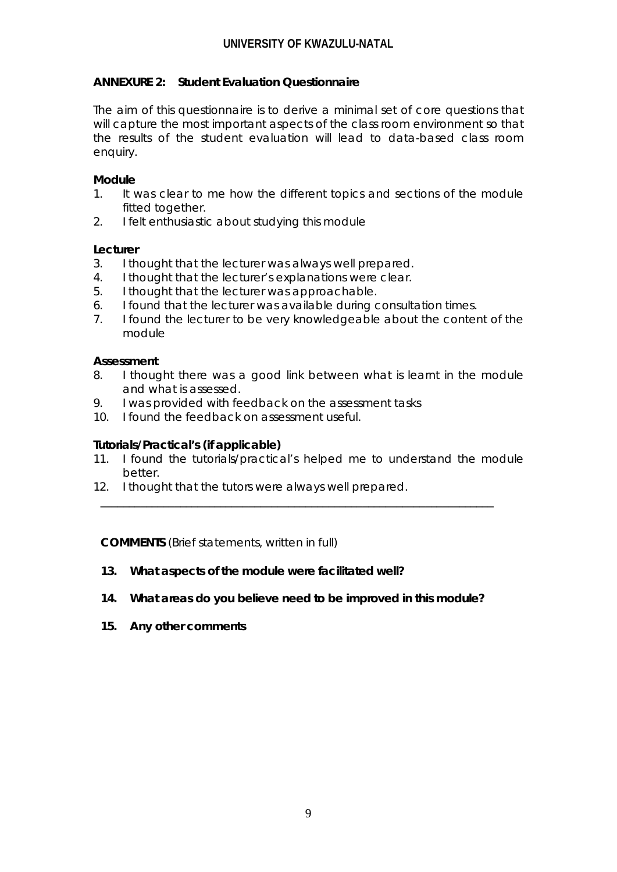## **ANNEXURE 2: Student Evaluation Questionnaire**

The aim of this questionnaire is to derive a minimal set of core questions that will capture the most important aspects of the class room environment so that the results of the student evaluation will lead to data-based class room enquiry.

## **Module**

- 1. It was clear to me how the different topics and sections of the module fitted together.
- 2. I felt enthusiastic about studying this module

## **Lecturer**

- 3. I thought that the lecturer was always well prepared.
- 4. I thought that the lecturer's explanations were clear.
- 5. I thought that the lecturer was approachable.
- 6. I found that the lecturer was available during consultation times.
- 7. I found the lecturer to be very knowledgeable about the content of the module

## **Assessment**

- 8. I thought there was a good link between what is learnt in the module and what is assessed.
- 9. I was provided with feedback on the assessment tasks
- 10. I found the feedback on assessment useful.

## **Tutorials/Practical's (if applicable)**

11. I found the tutorials/practical's helped me to understand the module better.

\_\_\_\_\_\_\_\_\_\_\_\_\_\_\_\_\_\_\_\_\_\_\_\_\_\_\_\_\_\_\_\_\_\_\_\_\_\_\_\_\_\_\_\_\_\_\_\_\_\_\_\_\_\_\_\_\_\_\_\_\_\_\_\_\_\_\_\_\_

12. I thought that the tutors were always well prepared.

**COMMENTS** (Brief statements, written in full)

- **13. What aspects of the module were facilitated well?**
- **14. What areas do you believe need to be improved in this module?**
- **15. Any other comments**